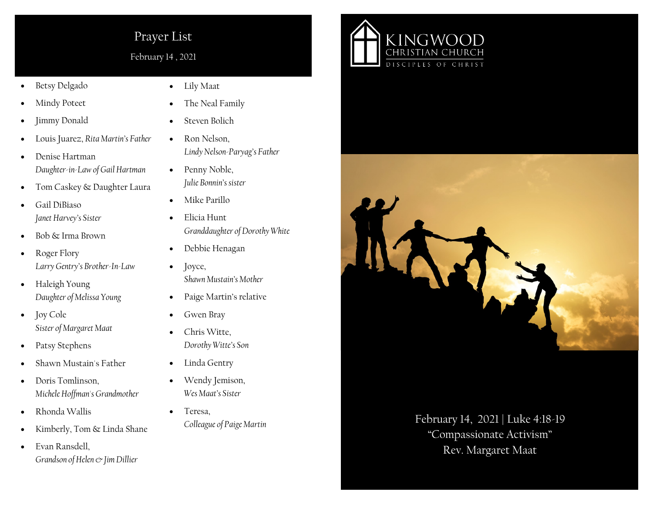## Prayer List

February 14 , 2021

- Betsy Delgado
- Mindy Poteet
- Jimmy Donald
- Louis Juarez, *Rita Martin's Father*
- Denise Hartman *Daughter-in-Law of Gail Hartman*
- Tom Caskey & Daughter Laura
- Gail DiBiaso *Janet Harvey's Sister*
- Bob & Irma Brown
- Roger Flory *Larry Gentry's Brother-In-Law*
- Haleigh Young *Daughter of Melissa Young*
- Joy Cole *Sister of Margaret Maat*
- Patsy Stephens
- Shawn Mustain's Father
- Doris Tomlinson. *Michele Hoffman's Grandmother*
- Rhonda Wallis
- Kimberly, Tom & Linda Shane
- Evan Ransdell, *Grandson of Helen & Jim Dillier*
- Lily Maat
- The Neal Family
- Steven Bolich
- Ron Nelson, *Lindy Nelson-Paryag's Father*
- Penny Noble, *Julie Bonnin's sister*
- Mike Parillo
- Elicia Hunt *Granddaughter of Dorothy White*
- Debbie Henagan
- Joyce, *Shawn Mustain's Mother*
- Paige Martin's relative
- Gwen Bray
- Chris Witte, *Dorothy Witte's Son*
- Linda Gentry
- Wendy Jemison, *Wes Maat's Sister*
- Teresa,





*Colleague of Paige Martin* February 14, 2021 | Luke 4:18-19 "Compassionate Activism" Rev. Margaret Maat